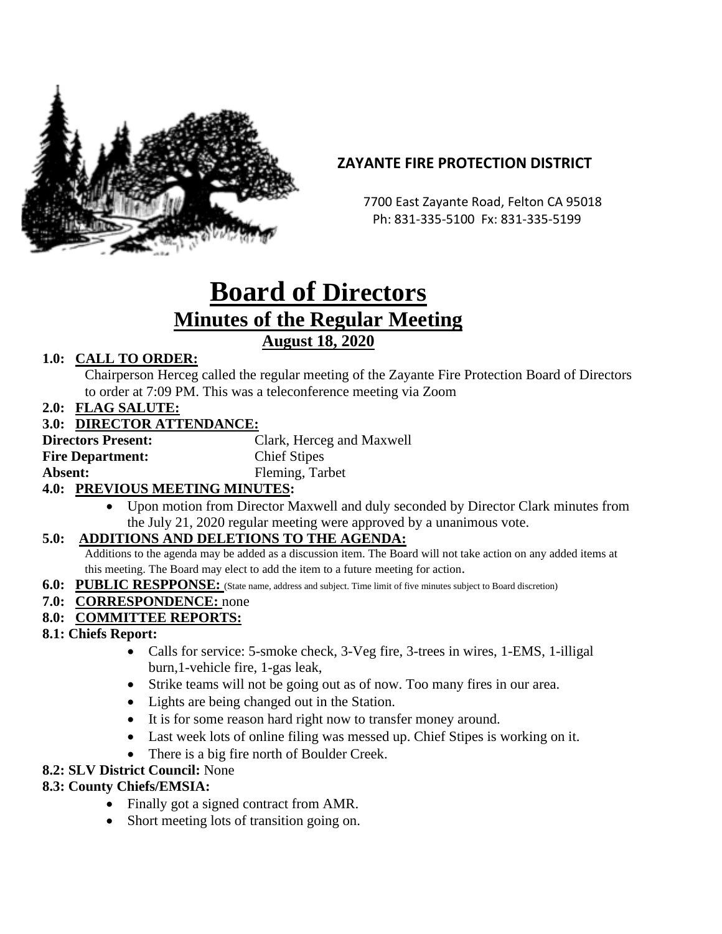

# **ZAYANTE FIRE PROTECTION DISTRICT**

 7700 East Zayante Road, Felton CA 95018 Ph: 831-335-5100 Fx: 831-335-5199

# **Board of Directors Minutes of the Regular Meeting August 18, 2020**

### **1.0: CALL TO ORDER:**

Chairperson Herceg called the regular meeting of the Zayante Fire Protection Board of Directors to order at 7:09 PM. This was a teleconference meeting via Zoom

**2.0: FLAG SALUTE:**

#### **3.0: DIRECTOR ATTENDANCE:**

**Directors Present:** Clark, Herceg and Maxwell **Fire Department:** Chief Stipes Absent: Fleming, Tarbet

#### **4.0: PREVIOUS MEETING MINUTES:**

• Upon motion from Director Maxwell and duly seconded by Director Clark minutes from the July 21, 2020 regular meeting were approved by a unanimous vote.

#### **5.0: ADDITIONS AND DELETIONS TO THE AGENDA:**

Additions to the agenda may be added as a discussion item. The Board will not take action on any added items at this meeting. The Board may elect to add the item to a future meeting for action.

**6.0: PUBLIC RESPPONSE:** (State name, address and subject. Time limit of five minutes subject to Board discretion)

#### **7.0: CORRESPONDENCE:** none

#### **8.0: COMMITTEE REPORTS:**

#### **8.1: Chiefs Report:**

- Calls for service: 5-smoke check, 3-Veg fire, 3-trees in wires, 1-EMS, 1-illigal burn,1-vehicle fire, 1-gas leak,
- Strike teams will not be going out as of now. Too many fires in our area.
- Lights are being changed out in the Station.
- It is for some reason hard right now to transfer money around.
- Last week lots of online filing was messed up. Chief Stipes is working on it.
- There is a big fire north of Boulder Creek.

#### **8.2: SLV District Council:** None

#### **8.3: County Chiefs/EMSIA:**

- Finally got a signed contract from AMR.
- Short meeting lots of transition going on.